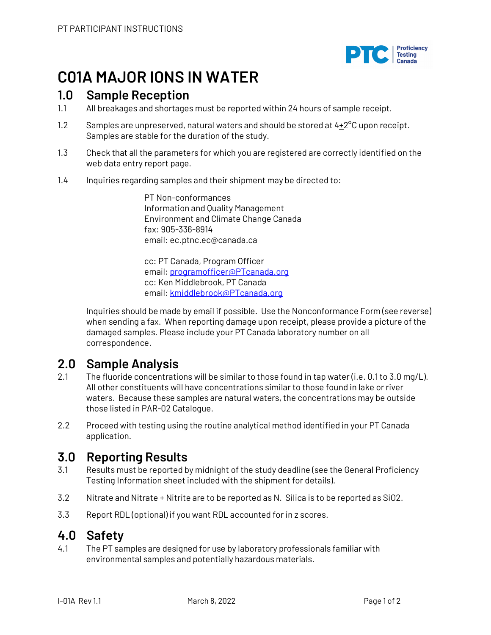

# **C01A MAJOR IONS IN WATER**

### **1.0 Sample Reception**

- 1.1 All breakages and shortages must be reported within 24 hours of sample receipt.
- 1.2 Samples are unpreserved, natural waters and should be stored at  $4\pm2^{\circ}C$  upon receipt. Samples are stable for the duration of the study.
- 1.3 Check that all the parameters for which you are registered are correctly identified on the web data entry report page.
- 1.4 Inquiries regarding samples and their shipment may be directed to:

PT Non-conformances Information and Quality Management Environment and Climate Change Canada fax: 905-336-8914 email: ec.ptnc.ec@canada.ca

cc: PT Canada, Program Officer email: programofficer@PTcanada.org cc: Ken Middlebrook, PT Canada email: kmiddlebrook@PTcanada.org

Inquiries should be made by email if possible. Use the Nonconformance Form (see reverse) when sending a fax. When reporting damage upon receipt, please provide a picture of the damaged samples. Please include your PT Canada laboratory number on all correspondence.

### **2.0 Sample Analysis**

- 2.1 The fluoride concentrations will be similar to those found in tap water (i.e. 0.1 to 3.0 mg/L). All other constituents will have concentrations similar to those found in lake or river waters. Because these samples are natural waters, the concentrations may be outside those listed in PAR-02 Catalogue.
- 2.2 Proceed with testing using the routine analytical method identified in your PT Canada application.

## **3.0 Reporting Results**

- 3.1 Results must be reported by midnight of the study deadline (see the General Proficiency Testing Information sheet included with the shipment for details).
- 3.2 Nitrate and Nitrate + Nitrite are to be reported as N. Silica is to be reported as SiO2.
- 3.3 Report RDL (optional) if you want RDL accounted for in z scores.

### **4.0 Safety**

4.1 The PT samples are designed for use by laboratory professionals familiar with environmental samples and potentially hazardous materials.